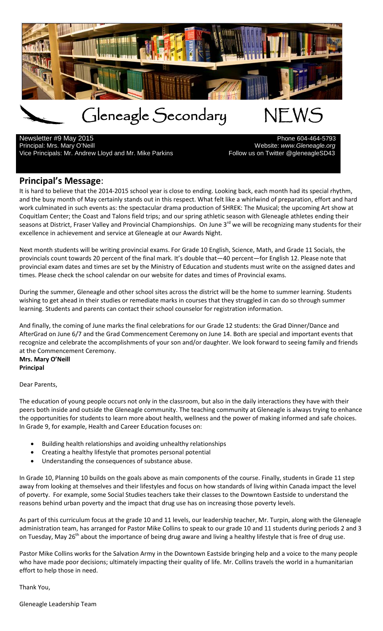

Newsletter #9 May 2015<br>Principal: Mrs. Mary O'Neill Vice Principals: Mr. Andrew Lloyd and Mr. Mike Parkins Fullow us on Twitter @gleneagleSD43

Principal: Mrs. Mary O'Neill Website: *www.Gleneagle.org*

## **Principal's Message**:

It is hard to believe that the 2014-2015 school year is close to ending. Looking back, each month had its special rhythm, and the busy month of May certainly stands out in this respect. What felt like a whirlwind of preparation, effort and hard work culminated in such events as: the spectacular drama production of SHREK: The Musical; the upcoming Art show at Coquitlam Center; the Coast and Talons field trips; and our spring athletic season with Gleneagle athletes ending their seasons at District, Fraser Valley and Provincial Championships. On June 3<sup>rd</sup> we will be recognizing many students for their excellence in achievement and service at Gleneagle at our Awards Night.

Next month students will be writing provincial exams. For Grade 10 English, Science, Math, and Grade 11 Socials, the provincials count towards 20 percent of the final mark. It's double that—40 percent—for English 12. Please note that provincial exam dates and times are set by the Ministry of Education and students must write on the assigned dates and times. Please check the school calendar on our website for dates and times of Provincial exams.

During the summer, Gleneagle and other school sites across the district will be the home to summer learning. Students wishing to get ahead in their studies or remediate marks in courses that they struggled in can do so through summer learning. Students and parents can contact their school counselor for registration information.

And finally, the coming of June marks the final celebrations for our Grade 12 students: the Grad Dinner/Dance and AfterGrad on June 6/7 and the Grad Commencement Ceremony on June 14. Both are special and important events that recognize and celebrate the accomplishments of your son and/or daughter. We look forward to seeing family and friends at the Commencement Ceremony.

**Mrs. Mary O'Neill Principal**

Dear Parents,

The education of young people occurs not only in the classroom, but also in the daily interactions they have with their peers both inside and outside the Gleneagle community. The teaching community at Gleneagle is always trying to enhance the opportunities for students to learn more about health, wellness and the power of making informed and safe choices. In Grade 9, for example, Health and Career Education focuses on:

- Building health relationships and avoiding unhealthy relationships
- Creating a healthy lifestyle that promotes personal potential
- Understanding the consequences of substance abuse.

In Grade 10, Planning 10 builds on the goals above as main components of the course. Finally, students in Grade 11 step away from looking at themselves and their lifestyles and focus on how standards of living within Canada impact the level of poverty. For example, some Social Studies teachers take their classes to the Downtown Eastside to understand the reasons behind urban poverty and the impact that drug use has on increasing those poverty levels.

As part of this curriculum focus at the grade 10 and 11 levels, our leadership teacher, Mr. Turpin, along with the Gleneagle administration team, has arranged for Pastor Mike Collins to speak to our grade 10 and 11 students during periods 2 and 3 on Tuesday, May 26<sup>th</sup> about the importance of being drug aware and living a healthy lifestyle that is free of drug use.

Pastor Mike Collins works for the Salvation Army in the Downtown Eastside bringing help and a voice to the many people who have made poor decisions; ultimately impacting their quality of life. Mr. Collins travels the world in a humanitarian effort to help those in need.

Thank You,

Gleneagle Leadership Team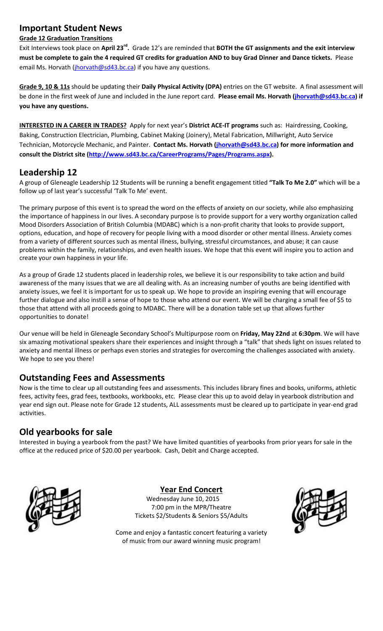## **Important Student News**

#### **Grade 12 Graduation Transitions**

Exit Interviews took place on **April 23rd.** Grade 12's are reminded that **BOTH the GT assignments and the exit interview must be complete to gain the 4 required GT credits for graduation AND to buy Grad Dinner and Dance tickets.** Please email Ms. Horvath [\(jhorvath@sd43.bc.ca\)](mailto:jhorvath@sd43.bc.ca) if you have any questions.

**Grade 9, 10 & 11s** should be updating their **Daily Physical Activity (DPA)** entries on the GT website. A final assessment will be done in the first week of June and included in the June report card. **Please email Ms. Horvath [\(jhorvath@sd43.bc.ca\)](mailto:jhorvath@sd43.bc.ca) if you have any questions.**

**INTERESTED IN A CAREER IN TRADES?** Apply for next year's **District ACE-IT programs** such as: Hairdressing, Cooking, Baking, Construction Electrician, Plumbing, Cabinet Making (Joinery), Metal Fabrication, Millwright, Auto Service Technician, Motorcycle Mechanic, and Painter. **Contact Ms. Horvath [\(jhorvath@sd43.bc.ca\)](mailto:jhorvath@sd43.bc.ca) for more information and consult the District site [\(http://www.sd43.bc.ca/CareerPrograms/Pages/Programs.aspx\)](http://www.sd43.bc.ca/CareerPrograms/Pages/Programs.aspx).**

## **Leadership 12**

A group of Gleneagle Leadership 12 Students will be running a benefit engagement titled **"Talk To Me 2.0"** which will be a follow up of last year's successful 'Talk To Me' event.

The primary purpose of this event is to spread the word on the effects of anxiety on our society, while also emphasizing the importance of happiness in our lives. A secondary purpose is to provide support for a very worthy organization called Mood Disorders Association of British Columbia (MDABC) which is a non-profit charity that looks to provide support, options, education, and hope of recovery for people living with a mood disorder or other mental illness. Anxiety comes from a variety of different sources such as mental illness, bullying, stressful circumstances, and abuse; it can cause problems within the family, relationships, and even health issues. We hope that this event will inspire you to action and create your own happiness in your life.

As a group of Grade 12 students placed in leadership roles, we believe it is our responsibility to take action and build awareness of the many issues that we are all dealing with. As an increasing number of youths are being identified with anxiety issues, we feel it is important for us to speak up. We hope to provide an inspiring evening that will encourage further dialogue and also instill a sense of hope to those who attend our event. We will be charging a small fee of \$5 to those that attend with all proceeds going to MDABC. There will be a donation table set up that allows further opportunities to donate!

Our venue will be held in Gleneagle Secondary School's Multipurpose room on **Friday, May 22nd** at **6:30pm**. We will have six amazing motivational speakers share their experiences and insight through a "talk" that sheds light on issues related to anxiety and mental illness or perhaps even stories and strategies for overcoming the challenges associated with anxiety. We hope to see you there!

## **Outstanding Fees and Assessments**

Now is the time to clear up all outstanding fees and assessments. This includes library fines and books, uniforms, athletic fees, activity fees, grad fees, textbooks, workbooks, etc. Please clear this up to avoid delay in yearbook distribution and year end sign out. Please note for Grade 12 students, ALL assessments must be cleared up to participate in year-end grad activities.

## **Old yearbooks for sale**

Interested in buying a yearbook from the past? We have limited quantities of yearbooks from prior years for sale in the office at the reduced price of \$20.00 per yearbook. Cash, Debit and Charge accepted.



**Year End Concert**

Wednesday June 10, 2015 7:00 pm in the MPR/Theatre Tickets \$2/Students & Seniors \$5/Adults



Come and enjoy a fantastic concert featuring a variety of music from our award winning music program!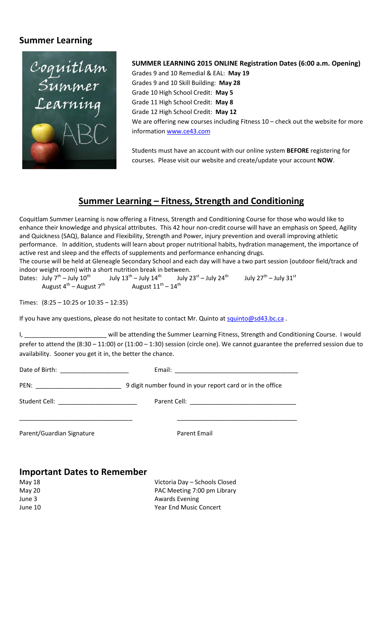## **Summer Learning**



## **SUMMER LEARNING 2015 ONLINE Registration Dates (6:00 a.m. Opening)**

Grades 9 and 10 Remedial & EAL: **May 19** Grades 9 and 10 Skill Building: **May 28** Grade 10 High School Credit: **May 5** Grade 11 High School Credit: **May 8** Grade 12 High School Credit: **May 12** We are offering new courses including Fitness 10 – check out the website for more information [www.ce43.com](http://www.ce43.com/)

Students must have an account with our online system **BEFORE** registering for courses. Please visit our website and create/update your account **NOW**.

## **Summer Learning – Fitness, Strength and Conditioning**

Coquitlam Summer Learning is now offering a Fitness, Strength and Conditioning Course for those who would like to enhance their knowledge and physical attributes. This 42 hour non-credit course will have an emphasis on Speed, Agility and Quickness (SAQ), Balance and Flexibility, Strength and Power, injury prevention and overall improving athletic performance. In addition, students will learn about proper nutritional habits, hydration management, the importance of active rest and sleep and the effects of supplements and performance enhancing drugs.

The course will be held at Gleneagle Secondary School and each day will have a two part session (outdoor field/track and indoor weight room) with a short nutrition break in between.

Dates: July  $7^{th}$  – July  $10^{th}$  July  $13^{th}$  – July  $14^{th}$  July  $23^{st}$  – July  $24^{th}$  July  $27^{th}$  – July  $31^{st}$ <br>August  $4^{th}$  – August  $7^{th}$  August  $11^{th}$  –  $14^{th}$ August  $4^{th}$  – August  $7^{th}$ 

Times: (8:25 – 10:25 or 10:35 – 12:35)

If you have any questions, please do not hesitate to contact Mr. Quinto at [squinto@sd43.bc.ca](mailto:squinto@sd43.bc.ca).

I, \_\_\_\_\_\_\_\_\_\_\_\_\_\_\_\_\_\_\_\_\_\_\_\_ will be attending the Summer Learning Fitness, Strength and Conditioning Course. I would prefer to attend the (8:30 – 11:00) or (11:00 – 1:30) session (circle one). We cannot guarantee the preferred session due to availability. Sooner you get it in, the better the chance.

Date of Birth: \_\_\_\_\_\_\_\_\_\_\_\_\_\_\_\_\_\_\_\_ Email: \_\_\_\_\_\_\_\_\_\_\_\_\_\_\_\_\_\_\_\_\_\_\_\_\_\_\_\_\_\_\_\_\_\_\_\_ PEN: \_\_\_\_\_\_\_\_\_\_\_\_\_\_\_\_\_\_\_\_\_\_\_\_\_ 9 digit number found in your report card or in the office

\_\_\_\_\_\_\_\_\_\_\_\_\_\_\_\_\_\_\_\_\_\_\_\_\_\_\_\_\_\_\_\_\_ \_\_\_\_\_\_\_\_\_\_\_\_\_\_\_\_\_\_\_\_\_\_\_\_\_\_\_\_\_\_\_\_\_\_\_

Student Cell: \_\_\_\_\_\_\_\_\_\_\_\_\_\_\_\_\_\_\_\_\_\_\_ Parent Cell: \_\_\_\_\_\_\_\_\_\_\_\_\_\_\_\_\_\_\_\_\_\_\_\_\_\_\_\_\_\_\_

Parent/Guardian Signature **Parent Email** 

## **Important Dates to Remember**

May 18 Victoria Day – Schools Closed May 20 **PAC Meeting 7:00 pm Library** June 3 **Awards** Evening June 10 Year End Music Concert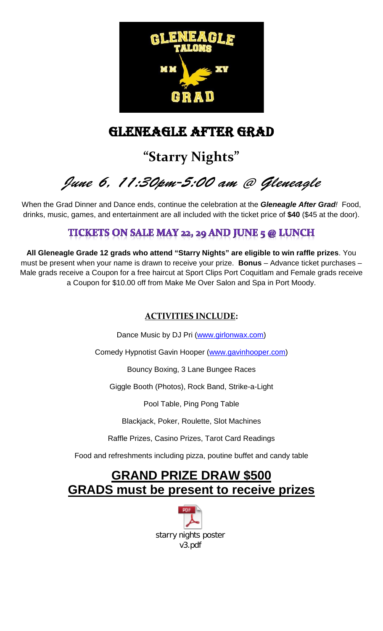

# GLENEAGLE AFTER GRAD

# **"Starry Nights"**

*June 6, 11:30pm-5:00 am @ Gleneagle*

When the Grad Dinner and Dance ends, continue the celebration at the *Gleneagle After Grad!* Food, drinks, music, games, and entertainment are all included with the ticket price of **\$40** (\$45 at the door).

## TICKETS ON SALE MAY 22, 29 AND JUNE 5 @ LUNCH

**All Gleneagle Grade 12 grads who attend "Starry Nights" are eligible to win raffle prizes**. You must be present when your name is drawn to receive your prize. **Bonus** – Advance ticket purchases – Male grads receive a Coupon for a free haircut at Sport Clips Port Coquitlam and Female grads receive a Coupon for \$10.00 off from Make Me Over Salon and Spa in Port Moody.

## **ACTIVITIES INCLUDE:**

Dance Music by DJ Pri [\(www.girlonwax.com\)](http://www.girlonwax.com/)

Comedy Hypnotist Gavin Hooper [\(www.gavinhooper.com\)](http://www.gavinhooper.com/)

Bouncy Boxing, 3 Lane Bungee Races

Giggle Booth (Photos), Rock Band, Strike-a-Light

Pool Table, Ping Pong Table

Blackjack, Poker, Roulette, Slot Machines

Raffle Prizes, Casino Prizes, Tarot Card Readings

Food and refreshments including pizza, poutine buffet and candy table

## **GRAND PRIZE DRAW \$500 GRADS must be present to receive prizes**

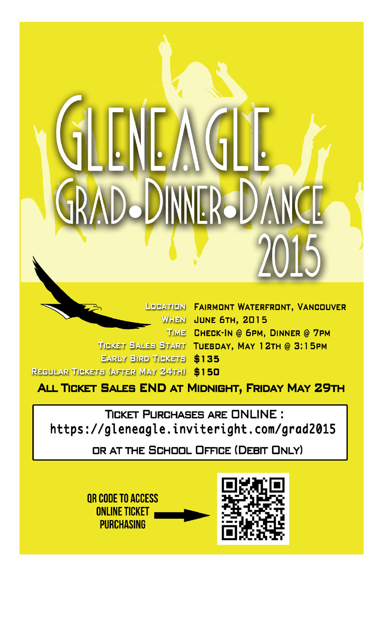**JOBATION FAIRMONT WATERFRONT, VANCOUVER WHEN JUNE 6TH, 2015** TIME CHECK-IN @ 6PM, DINNER @ 7PM TICKET SALES START TUESDAY, MAY 12TH @ 3:15PM **EARLY BIRD TICKETS \$135 REGULAR TICKETS (AFTER MAY 24TH) \$150** 

ALL TICKET SALES END AT MIDNIGHT, FRIDAY MAY 29TH

**TICKET PURCHASES ARE ONLINE:** https://gleneagle.inviteright.com/grad2015

OR AT THE SCHOOL OFFICE (DEBIT ONLY)

OR CODE TO ACCESS **ONLINE TICKET PURCHASING** 

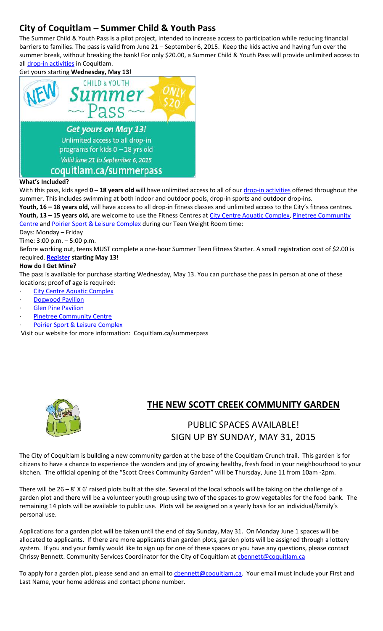## **City of Coquitlam – Summer Child & Youth Pass**

The Summer Child & Youth Pass is a pilot project, intended to increase access to participation while reducing financial barriers to families. The pass is valid from June 21 – September 6, 2015. Keep the kids active and having fun over the summer break, without breaking the bank! For only \$20.00, a Summer Child & Youth Pass will provide unlimited access to all [drop-in activities](http://www.coquitlam.ca/parks-recreation-and-culture/sport-and-recreation/dropins.aspx) in Coquitlam.

Get yours starting **Wednesday, May 13**!



## With this pass, kids aged 0 - 18 years old will have unlimited access to all of ou[r drop-in activities](http://www.coquitlam.ca/parks-recreation-and-culture/sport-and-recreation/dropins.aspx) offered throughout the summer. This includes swimming at both indoor and outdoor pools, drop-in sports and outdoor drop-ins.

**Youth, 16 – 18 years old,** will have access to all drop-in fitness classes and unlimited access to the City's fitness centres. Youth, 13 - 15 years old, are welcome to use the Fitness Centres at [City Centre Aquatic Complex,](http://www.coquitlam.ca/parks-recreation-and-culture/sport-and-recreation/sports-facilities/indoors/city-centre-aquatic-complex.aspx) Pinetree Community

[Centre](http://www.coquitlam.ca/parks-recreation-and-culture/sport-and-recreation/recreation-centres/pinetree-community-centre.aspx) and [Poirier Sport & Leisure Complex](http://www.coquitlam.ca/parks-recreation-and-culture/sport-and-recreation/sports-facilities/indoors/poirier-sport-leisure-complex.aspx) during our Teen Weight Room time: Days: Monday – Friday

Time: 3:00 p.m. – 5:00 p.m.

Before working out, teens MUST complete a one-hour Summer Teen Fitness Starter. A small registration cost of \$2.00 is required. **[Register](https://signmeup.coquitlam.ca/signmeup/Activities/ActivitiesDetails.asp?aid=7484) starting May 13!**

## **How do I Get Mine?**

The pass is available for purchase starting Wednesday, May 13. You can purchase the pass in person at one of these locations; proof of age is required:

**City Centre Aquatic Complex** 

- **[Dogwood Pavilion](http://www.coquitlam.ca/parks-recreation-and-culture/sport-and-recreation/recreation-centres/dogwood-pavilion.aspx)**
- **[Glen Pine Pavilion](http://www.coquitlam.ca/parks-recreation-and-culture/sport-and-recreation/recreation-centres/glen-pine-pavilion.aspx)**
- [Pinetree Community Centre](http://www.coquitlam.ca/parks-recreation-and-culture/sport-and-recreation/recreation-centres/pinetree-community-centre.aspx)
- [Poirier Sport & Leisure Complex](http://www.coquitlam.ca/parks-recreation-and-culture/sport-and-recreation/sports-facilities/indoors/poirier-sport-leisure-complex.aspx)

Visit our website for more information: Coquitlam.ca/summerpass



## **THE NEW SCOTT CREEK COMMUNITY GARDEN**

## PUBLIC SPACES AVAILABLE! SIGN UP BY SUNDAY, MAY 31, 2015

The City of Coquitlam is building a new community garden at the base of the Coquitlam Crunch trail. This garden is for citizens to have a chance to experience the wonders and joy of growing healthy, fresh food in your neighbourhood to your kitchen. The official opening of the "Scott Creek Community Garden" will be Thursday, June 11 from 10am -2pm.

There will be 26 – 8' X 6' raised plots built at the site. Several of the local schools will be taking on the challenge of a garden plot and there will be a volunteer youth group using two of the spaces to grow vegetables for the food bank. The remaining 14 plots will be available to public use. Plots will be assigned on a yearly basis for an individual/family's personal use.

Applications for a garden plot will be taken until the end of day Sunday, May 31. On Monday June 1 spaces will be allocated to applicants. If there are more applicants than garden plots, garden plots will be assigned through a lottery system. If you and your family would like to sign up for one of these spaces or you have any questions, please contact Chrissy Bennett. Community Services Coordinator for the City of Coquitlam at chennett@coquitlam.ca

To apply for a garden plot, please send and an email to [cbennett@coquitlam.ca.](mailto:cbennett@coquitlam.ca) Your email must include your First and Last Name, your home address and contact phone number.